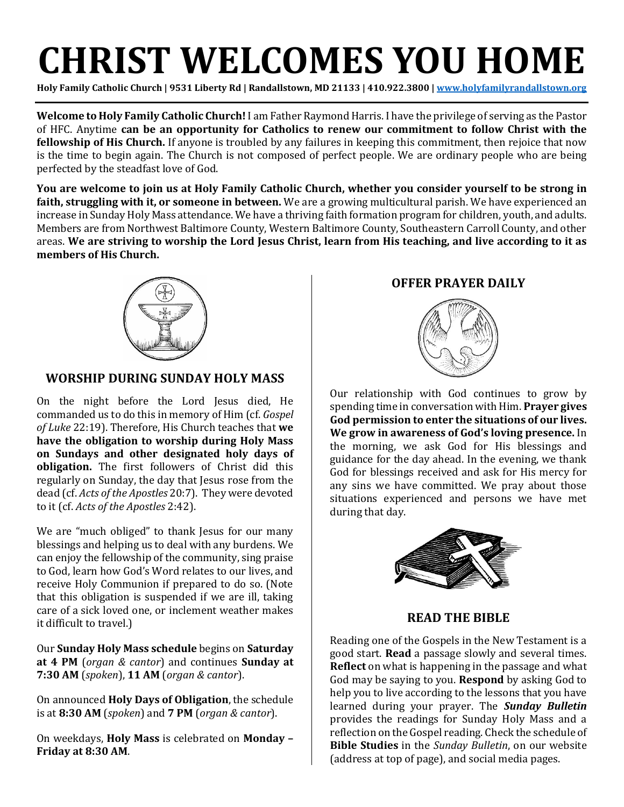# **CHRIST WELCOMES YOU HOME**

**Holy Family Catholic Church | 9531 Liberty Rd | Randallstown, MD 21133 | 410.922.3800 | [www.holyfamilyrandallstown.org](http://www.holyfamilyrandallstown.org/)**

**Welcome to Holy Family Catholic Church!** I am Father Raymond Harris. I have the privilege of serving as the Pastor of HFC. Anytime **can be an opportunity for Catholics to renew our commitment to follow Christ with the fellowship of His Church.** If anyone is troubled by any failures in keeping this commitment, then rejoice that now is the time to begin again. The Church is not composed of perfect people. We are ordinary people who are being perfected by the steadfast love of God.

**You are welcome to join us at Holy Family Catholic Church, whether you consider yourself to be strong in faith, struggling with it, or someone in between.** We are a growing multicultural parish. We have experienced an increase in Sunday Holy Mass attendance. We have a thriving faith formation program for children, youth, and adults. Members are from Northwest Baltimore County, Western Baltimore County, Southeastern Carroll County, and other areas. **We are striving to worship the Lord Jesus Christ, learn from His teaching, and live according to it as members of His Church.** 



## **WORSHIP DURING SUNDAY HOLY MASS**

On the night before the Lord Jesus died, He commanded us to do this in memory of Him (cf. *Gospel of Luke* 22:19). Therefore, His Church teaches that **we have the obligation to worship during Holy Mass on Sundays and other designated holy days of obligation.** The first followers of Christ did this regularly on Sunday, the day that Jesus rose from the dead (cf. *Acts of the Apostles* 20:7). They were devoted to it (cf. *Acts of the Apostles* 2:42).

We are "much obliged" to thank Jesus for our many blessings and helping us to deal with any burdens. We can enjoy the fellowship of the community, sing praise to God, learn how God's Word relates to our lives, and receive Holy Communion if prepared to do so. (Note that this obligation is suspended if we are ill, taking care of a sick loved one, or inclement weather makes it difficult to travel.)

Our **Sunday Holy Mass schedule** begins on **Saturday at 4 PM** (*organ & cantor*) and continues **Sunday at 7:30 AM** (*spoken*), **11 AM** (*organ & cantor*).

On announced **Holy Days of Obligation**, the schedule is at **8:30 AM** (*spoken*) and **7 PM** (*organ & cantor*).

On weekdays, **Holy Mass** is celebrated on **Monday – Friday at 8:30 AM**.

## **OFFER PRAYER DAILY**



Our relationship with God continues to grow by spending time in conversation with Him. **Prayer gives God permission to enter the situations of our lives. We grow in awareness of God's loving presence.** In the morning, we ask God for His blessings and guidance for the day ahead. In the evening, we thank God for blessings received and ask for His mercy for any sins we have committed. We pray about those situations experienced and persons we have met during that day.



**READ THE BIBLE**

Reading one of the Gospels in the New Testament is a good start. **Read** a passage slowly and several times. **Reflect** on what is happening in the passage and what God may be saying to you. **Respond** by asking God to help you to live according to the lessons that you have learned during your prayer. The *Sunday Bulletin* provides the readings for Sunday Holy Mass and a reflection on the Gospel reading. Check the schedule of **Bible Studies** in the *Sunday Bulletin*, on our website (address at top of page), and social media pages.